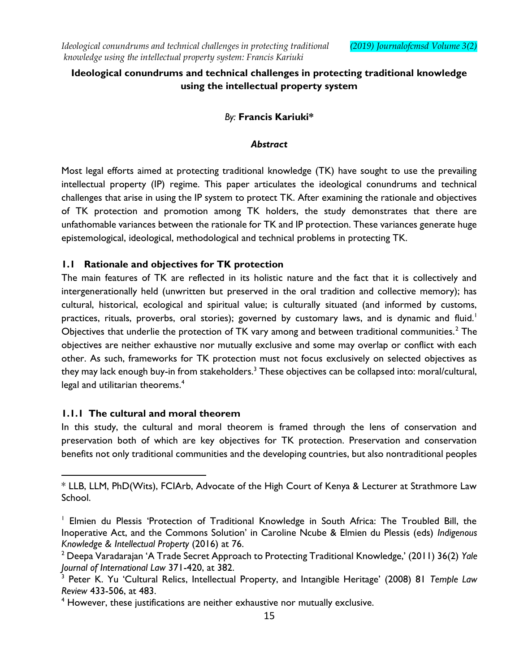# **Ideological conundrums and technical challenges in protecting traditional knowledge using the intellectual property system**

# *By:* **Francis Kariuki\***

### *Abstract*

Most legal efforts aimed at protecting traditional knowledge (TK) have sought to use the prevailing intellectual property (IP) regime. This paper articulates the ideological conundrums and technical challenges that arise in using the IP system to protect TK. After examining the rationale and objectives of TK protection and promotion among TK holders, the study demonstrates that there are unfathomable variances between the rationale for TK and IP protection. These variances generate huge epistemological, ideological, methodological and technical problems in protecting TK.

### **1.1 Rationale and objectives for TK protection**

The main features of TK are reflected in its holistic nature and the fact that it is collectively and intergenerationally held (unwritten but preserved in the oral tradition and collective memory); has cultural, historical, ecological and spiritual value; is culturally situated (and informed by customs, practices, rituals, proverbs, oral stories); governed by customary laws, and is dynamic and fluid.<sup>1</sup> Objectives that underlie the protection of TK vary among and between traditional communities.<sup>2</sup> The objectives are neither exhaustive nor mutually exclusive and some may overlap or conflict with each other. As such, frameworks for TK protection must not focus exclusively on selected objectives as they may lack enough buy-in from stakeholders.<sup>3</sup> These objectives can be collapsed into: moral/cultural, legal and utilitarian theorems.<sup>4</sup>

### **1.1.1 The cultural and moral theorem**

In this study, the cultural and moral theorem is framed through the lens of conservation and preservation both of which are key objectives for TK protection. Preservation and conservation benefits not only traditional communities and the developing countries, but also nontraditional peoples

 $\overline{\phantom{a}}$ \* LLB, LLM, PhD(Wits), FCIArb, Advocate of the High Court of Kenya & Lecturer at Strathmore Law School.

<sup>1</sup> Elmien du Plessis 'Protection of Traditional Knowledge in South Africa: The Troubled Bill, the Inoperative Act, and the Commons Solution' in Caroline Ncube & Elmien du Plessis (eds) *Indigenous Knowledge & Intellectual Property* (2016) at 76.

<sup>2</sup> Deepa Varadarajan 'A Trade Secret Approach to Protecting Traditional Knowledge,' (2011) 36(2) *Yale Journal of International Law* 371-420, at 382. 3 Peter K. Yu 'Cultural Relics, Intellectual Property, and Intangible Heritage' (2008) 81 *Temple Law* 

*Review* 433-506, at 483.

<sup>&</sup>lt;sup>4</sup> However, these justifications are neither exhaustive nor mutually exclusive.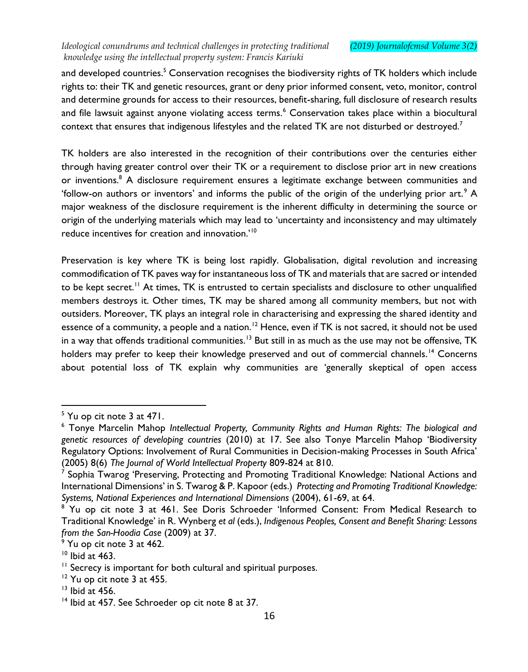and developed countries.<sup>5</sup> Conservation recognises the biodiversity rights of TK holders which include rights to: their TK and genetic resources, grant or deny prior informed consent, veto, monitor, control and determine grounds for access to their resources, benefit-sharing, full disclosure of research results and file lawsuit against anyone violating access terms.<sup>6</sup> Conservation takes place within a biocultural context that ensures that indigenous lifestyles and the related TK are not disturbed or destroyed.<sup>7</sup>

TK holders are also interested in the recognition of their contributions over the centuries either through having greater control over their TK or a requirement to disclose prior art in new creations or inventions.<sup>8</sup> A disclosure requirement ensures a legitimate exchange between communities and 'follow-on authors or inventors' and informs the public of the origin of the underlying prior art.<sup>9</sup> A major weakness of the disclosure requirement is the inherent difficulty in determining the source or origin of the underlying materials which may lead to 'uncertainty and inconsistency and may ultimately reduce incentives for creation and innovation.'<sup>10</sup>

Preservation is key where TK is being lost rapidly. Globalisation, digital revolution and increasing commodification of TK paves way for instantaneous loss of TK and materials that are sacred or intended to be kept secret.<sup>11</sup> At times, TK is entrusted to certain specialists and disclosure to other unqualified members destroys it. Other times, TK may be shared among all community members, but not with outsiders. Moreover, TK plays an integral role in characterising and expressing the shared identity and essence of a community, a people and a nation.<sup>12</sup> Hence, even if TK is not sacred, it should not be used in a way that offends traditional communities.<sup>13</sup> But still in as much as the use may not be offensive, TK holders may prefer to keep their knowledge preserved and out of commercial channels.<sup>14</sup> Concerns about potential loss of TK explain why communities are 'generally skeptical of open access

 $\overline{a}$  $<sup>5</sup>$  Yu op cit note 3 at 471.</sup>

<sup>6</sup> Tonye Marcelin Mahop *Intellectual Property, Community Rights and Human Rights: The biological and genetic resources of developing countries* (2010) at 17. See also Tonye Marcelin Mahop 'Biodiversity Regulatory Options: Involvement of Rural Communities in Decision-making Processes in South Africa' (2005) 8(6) *The Journal of World Intellectual Property* 809-824 at 810.

<sup>&</sup>lt;sup>7</sup> Sophia Twarog 'Preserving, Protecting and Promoting Traditional Knowledge: National Actions and International Dimensions' in S. Twarog & P. Kapoor (eds.) *Protecting and Promoting Traditional Knowledge: Systems, National Experiences and International Dimensions* (2004), 61-69, at 64.

<sup>&</sup>lt;sup>8</sup> Yu op cit note 3 at 461. See Doris Schroeder 'Informed Consent: From Medical Research to Traditional Knowledge' in R. Wynberg *et al* (eds.), *Indigenous Peoples, Consent and Benefit Sharing: Lessons from the San-Hoodia Case* (2009) at 37.

 $\frac{9}{9}$  Yu op cit note 3 at 462.

 $10$  Ibid at 463.

<sup>&</sup>lt;sup>11</sup> Secrecy is important for both cultural and spiritual purposes.

 $12$  Yu op cit note 3 at 455.

 $13$  Ibid at 456.

<sup>&</sup>lt;sup>14</sup> Ibid at 457. See Schroeder op cit note 8 at 37.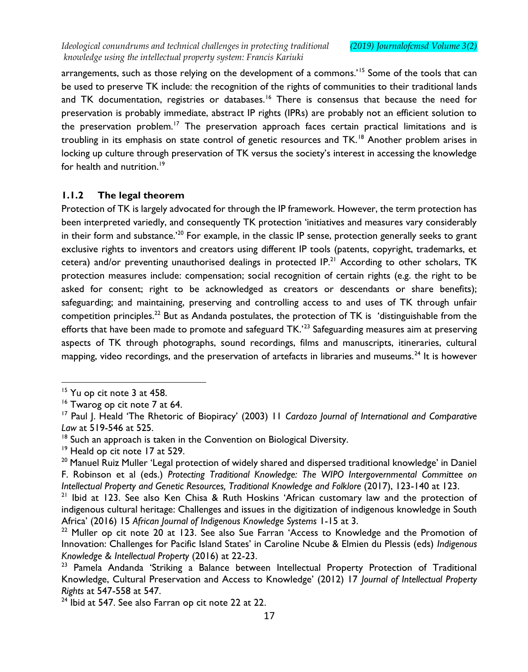arrangements, such as those relying on the development of a commons.<sup>'15</sup> Some of the tools that can be used to preserve TK include: the recognition of the rights of communities to their traditional lands and TK documentation, registries or databases.<sup>16</sup> There is consensus that because the need for preservation is probably immediate, abstract IP rights (IPRs) are probably not an efficient solution to the preservation problem.<sup>17</sup> The preservation approach faces certain practical limitations and is troubling in its emphasis on state control of genetic resources and TK.<sup>18</sup> Another problem arises in locking up culture through preservation of TK versus the society's interest in accessing the knowledge for health and nutrition.<sup>19</sup>

# **1.1.2 The legal theorem**

Protection of TK is largely advocated for through the IP framework. However, the term protection has been interpreted variedly, and consequently TK protection 'initiatives and measures vary considerably in their form and substance.<sup>'20</sup> For example, in the classic IP sense, protection generally seeks to grant exclusive rights to inventors and creators using different IP tools (patents, copyright, trademarks, et cetera) and/or preventing unauthorised dealings in protected IP.<sup>21</sup> According to other scholars, TK protection measures include: compensation; social recognition of certain rights (e.g. the right to be asked for consent; right to be acknowledged as creators or descendants or share benefits); safeguarding; and maintaining, preserving and controlling access to and uses of TK through unfair competition principles.<sup>22</sup> But as Andanda postulates, the protection of TK is 'distinguishable from the efforts that have been made to promote and safeguard TK.'<sup>23</sup> Safeguarding measures aim at preserving aspects of TK through photographs, sound recordings, films and manuscripts, itineraries, cultural mapping, video recordings, and the preservation of artefacts in libraries and museums.<sup>24</sup> It is however

<sup>&</sup>lt;sup>15</sup> Yu op cit note 3 at 458.

 $16$  Twarog op cit note 7 at 64.

<sup>&</sup>lt;sup>17</sup> Paul J. Heald 'The Rhetoric of Biopiracy' (2003) 11 *Cardozo Journal of International and Comparative Law* at 519-546 at 525.

 $18$  Such an approach is taken in the Convention on Biological Diversity.

<sup>&</sup>lt;sup>19</sup> Heald op cit note 17 at 529.

<sup>&</sup>lt;sup>20</sup> Manuel Ruiz Muller 'Legal protection of widely shared and dispersed traditional knowledge' in Daniel F. Robinson et al (eds.) *Protecting Traditional Knowledge: The WIPO Intergovernmental Committee on Intellectual Property and Genetic Resources, Traditional Knowledge and Folklore* (2017), 123-140 at 123.

<sup>&</sup>lt;sup>21</sup> Ibid at 123. See also Ken Chisa & Ruth Hoskins 'African customary law and the protection of indigenous cultural heritage: Challenges and issues in the digitization of indigenous knowledge in South Africa' (2016) 15 *African Journal of Indigenous Knowledge Systems* 1-15 at 3.

 $22$  Muller op cit note 20 at 123. See also Sue Farran 'Access to Knowledge and the Promotion of Innovation: Challenges for Pacific Island States' in Caroline Ncube & Elmien du Plessis (eds) *Indigenous Knowledge & Intellectual Property* (2016) at 22-23.

<sup>&</sup>lt;sup>23</sup> Pamela Andanda 'Striking a Balance between Intellectual Property Protection of Traditional Knowledge, Cultural Preservation and Access to Knowledge' (2012) 17 *Journal of Intellectual Property Rights* at 547-558 at 547.

<sup>&</sup>lt;sup>24</sup> Ibid at 547. See also Farran op cit note 22 at 22.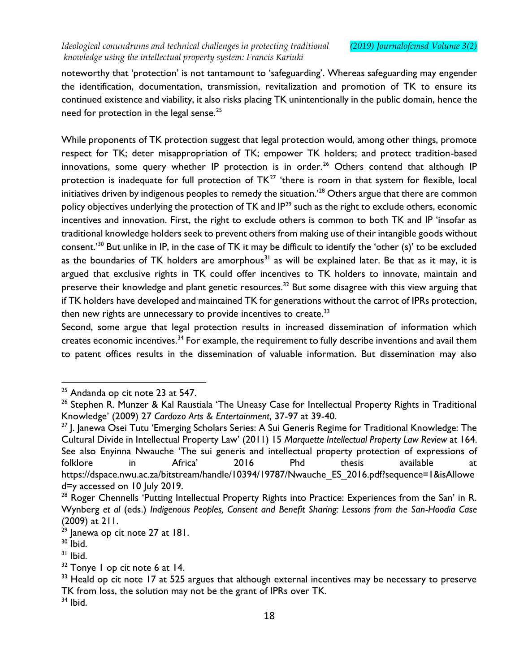noteworthy that 'protection' is not tantamount to 'safeguarding'. Whereas safeguarding may engender the identification, documentation, transmission, revitalization and promotion of TK to ensure its continued existence and viability, it also risks placing TK unintentionally in the public domain, hence the need for protection in the legal sense.<sup>25</sup>

While proponents of TK protection suggest that legal protection would, among other things, promote respect for TK; deter misappropriation of TK; empower TK holders; and protect tradition-based innovations, some query whether IP protection is in order.<sup>26</sup> Others contend that although IP protection is inadequate for full protection of TK<sup>27</sup> 'there is room in that system for flexible, local initiatives driven by indigenous peoples to remedy the situation.<sup>'28</sup> Others argue that there are common policy objectives underlying the protection of TK and IP<sup>29</sup> such as the right to exclude others, economic incentives and innovation. First, the right to exclude others is common to both TK and IP 'insofar as traditional knowledge holders seek to prevent others from making use of their intangible goods without consent.'<sup>30</sup> But unlike in IP, in the case of TK it may be difficult to identify the 'other (s)' to be excluded as the boundaries of TK holders are amorphous<sup>31</sup> as will be explained later. Be that as it may, it is argued that exclusive rights in TK could offer incentives to TK holders to innovate, maintain and preserve their knowledge and plant genetic resources.<sup>32</sup> But some disagree with this view arguing that if TK holders have developed and maintained TK for generations without the carrot of IPRs protection, then new rights are unnecessary to provide incentives to create.<sup>33</sup>

Second, some argue that legal protection results in increased dissemination of information which creates economic incentives.<sup>34</sup> For example, the requirement to fully describe inventions and avail them to patent offices results in the dissemination of valuable information. But dissemination may also

 $\overline{a}$  $^{25}$  Andanda op cit note 23 at 547.

<sup>&</sup>lt;sup>26</sup> Stephen R. Munzer & Kal Raustiala 'The Uneasy Case for Intellectual Property Rights in Traditional Knowledge' (2009) 27 *Cardozo Arts & Entertainment*, 37-97 at 39-40.

<sup>&</sup>lt;sup>27</sup> J. Janewa Osei Tutu 'Emerging Scholars Series: A Sui Generis Regime for Traditional Knowledge: The Cultural Divide in Intellectual Property Law' (2011) 15 *Marquette Intellectual Property Law Review* at 164. See also Enyinna Nwauche 'The sui generis and intellectual property protection of expressions of folklore in Africa' 2016 Phd thesis available at https://dspace.nwu.ac.za/bitstream/handle/10394/19787/Nwauche\_ES\_2016.pdf?sequence=1&isAllowe d=y accessed on 10 July 2019.

<sup>&</sup>lt;sup>28</sup> Roger Chennells 'Putting Intellectual Property Rights into Practice: Experiences from the San' in R. Wynberg *et al* (eds.) *Indigenous Peoples, Consent and Benefit Sharing: Lessons from the San-Hoodia Case* (2009) at 211.

 $29$  lanewa op cit note 27 at 181.

 $30$  Ibid.

 $31$  Ibid.

 $32$  Tonye I op cit note 6 at 14.

 $33$  Heald op cit note 17 at 525 argues that although external incentives may be necessary to preserve TK from loss, the solution may not be the grant of IPRs over TK.

 $34$  Ibid.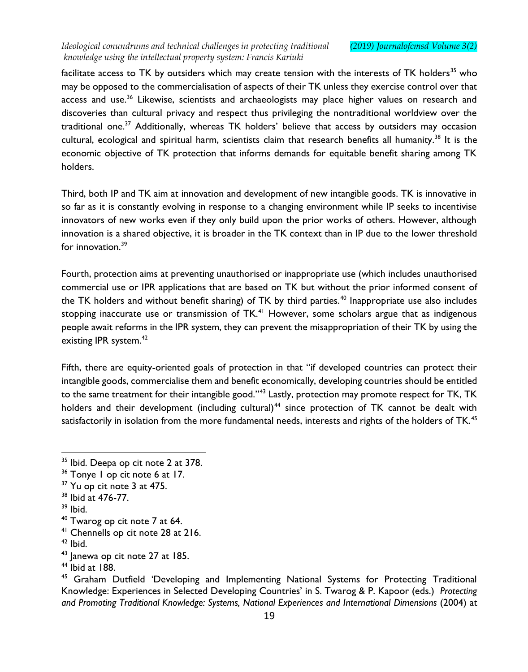facilitate access to TK by outsiders which may create tension with the interests of TK holders<sup>35</sup> who may be opposed to the commercialisation of aspects of their TK unless they exercise control over that access and use.<sup>36</sup> Likewise, scientists and archaeologists may place higher values on research and discoveries than cultural privacy and respect thus privileging the nontraditional worldview over the traditional one.<sup>37</sup> Additionally, whereas TK holders' believe that access by outsiders may occasion cultural, ecological and spiritual harm, scientists claim that research benefits all humanity.<sup>38</sup> It is the economic objective of TK protection that informs demands for equitable benefit sharing among TK holders.

Third, both IP and TK aim at innovation and development of new intangible goods. TK is innovative in so far as it is constantly evolving in response to a changing environment while IP seeks to incentivise innovators of new works even if they only build upon the prior works of others. However, although innovation is a shared objective, it is broader in the TK context than in IP due to the lower threshold for innovation  $39$ 

Fourth, protection aims at preventing unauthorised or inappropriate use (which includes unauthorised commercial use or IPR applications that are based on TK but without the prior informed consent of the TK holders and without benefit sharing) of TK by third parties.<sup>40</sup> Inappropriate use also includes stopping inaccurate use or transmission of TK.<sup>41</sup> However, some scholars argue that as indigenous people await reforms in the IPR system, they can prevent the misappropriation of their TK by using the existing IPR system.<sup>42</sup>

Fifth, there are equity-oriented goals of protection in that "if developed countries can protect their intangible goods, commercialise them and benefit economically, developing countries should be entitled to the same treatment for their intangible good."<sup>43</sup> Lastly, protection may promote respect for TK, TK holders and their development (including cultural)<sup>44</sup> since protection of TK cannot be dealt with satisfactorily in isolation from the more fundamental needs, interests and rights of the holders of TK.<sup>45</sup>

 $35$  Ibid. Deepa op cit note 2 at 378.

<sup>&</sup>lt;sup>36</sup> Tonye I op cit note 6 at 17.

<sup>&</sup>lt;sup>37</sup> Yu op cit note 3 at 475.

<sup>38</sup> Ibid at 476-77.

<sup>39</sup> Ibid.

 $40$  Twarog op cit note 7 at 64.

<sup>41</sup> Chennells op cit note 28 at 216.

 $42$  Ibid.

 $43$  Janewa op cit note 27 at 185.

<sup>44</sup> Ibid at 188.

<sup>&</sup>lt;sup>45</sup> Graham Dutfield 'Developing and Implementing National Systems for Protecting Traditional Knowledge: Experiences in Selected Developing Countries' in S. Twarog & P. Kapoor (eds.) *Protecting and Promoting Traditional Knowledge: Systems, National Experiences and International Dimensions* (2004) at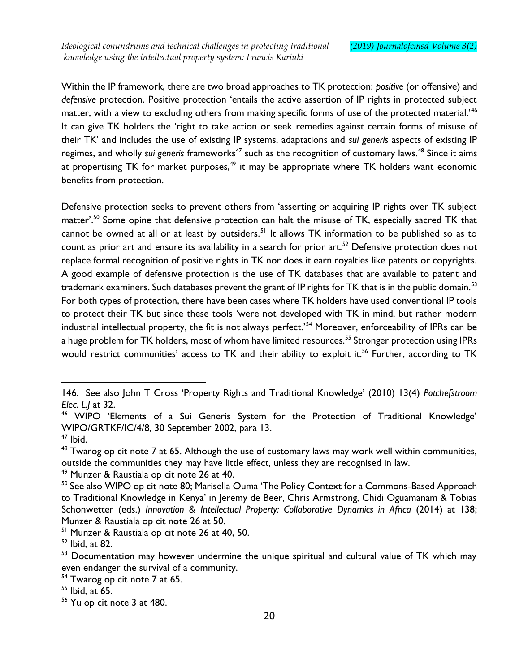Within the IP framework, there are two broad approaches to TK protection: *positive* (or offensive) and *defensive* protection. Positive protection 'entails the active assertion of IP rights in protected subject matter, with a view to excluding others from making specific forms of use of the protected material.'<sup>46</sup> It can give TK holders the 'right to take action or seek remedies against certain forms of misuse of their TK' and includes the use of existing IP systems, adaptations and *sui generis* aspects of existing IP regimes, and wholly *sui generis* frameworks<sup>47</sup> such as the recognition of customary laws.<sup>48</sup> Since it aims at propertising TK for market purposes,<sup>49</sup> it may be appropriate where TK holders want economic benefits from protection.

Defensive protection seeks to prevent others from 'asserting or acquiring IP rights over TK subject matter'.<sup>50</sup> Some opine that defensive protection can halt the misuse of TK, especially sacred TK that cannot be owned at all or at least by outsiders.<sup>51</sup> It allows TK information to be published so as to count as prior art and ensure its availability in a search for prior art.<sup>52</sup> Defensive protection does not replace formal recognition of positive rights in TK nor does it earn royalties like patents or copyrights. A good example of defensive protection is the use of TK databases that are available to patent and trademark examiners. Such databases prevent the grant of IP rights for TK that is in the public domain.<sup>53</sup> For both types of protection, there have been cases where TK holders have used conventional IP tools to protect their TK but since these tools 'were not developed with TK in mind, but rather modern industrial intellectual property, the fit is not always perfect.'<sup>54</sup> Moreover, enforceability of IPRs can be a huge problem for TK holders, most of whom have limited resources.<sup>55</sup> Stronger protection using IPRs would restrict communities' access to TK and their ability to exploit it.<sup>56</sup> Further, according to TK

<sup>146.</sup> See also John T Cross 'Property Rights and Traditional Knowledge' (2010) 13(4) *Potchefstroom Elec. L.J* at 32.

<sup>46</sup> WIPO 'Elements of a Sui Generis System for the Protection of Traditional Knowledge' WIPO/GRTKF/IC/4/8, 30 September 2002, para 13.

 $47$  Ibid.

 $^{48}$  Twarog op cit note 7 at 65. Although the use of customary laws may work well within communities, outside the communities they may have little effect, unless they are recognised in law.

<sup>&</sup>lt;sup>49</sup> Munzer & Raustiala op cit note 26 at 40.

<sup>&</sup>lt;sup>50</sup> See also WIPO op cit note 80; Marisella Ouma 'The Policy Context for a Commons-Based Approach to Traditional Knowledge in Kenya' in Jeremy de Beer, Chris Armstrong, Chidi Oguamanam & Tobias Schonwetter (eds.) *Innovation & Intellectual Property: Collaborative Dynamics in Africa* (2014) at 138; Munzer & Raustiala op cit note 26 at 50.

<sup>51</sup> Munzer & Raustiala op cit note 26 at 40, 50.

<sup>52</sup> Ibid, at 82.

<sup>&</sup>lt;sup>53</sup> Documentation may however undermine the unique spiritual and cultural value of TK which may even endanger the survival of a community.

<sup>&</sup>lt;sup>54</sup> Twarog op cit note 7 at 65.

<sup>55</sup> Ibid, at 65.

<sup>56</sup> Yu op cit note 3 at 480.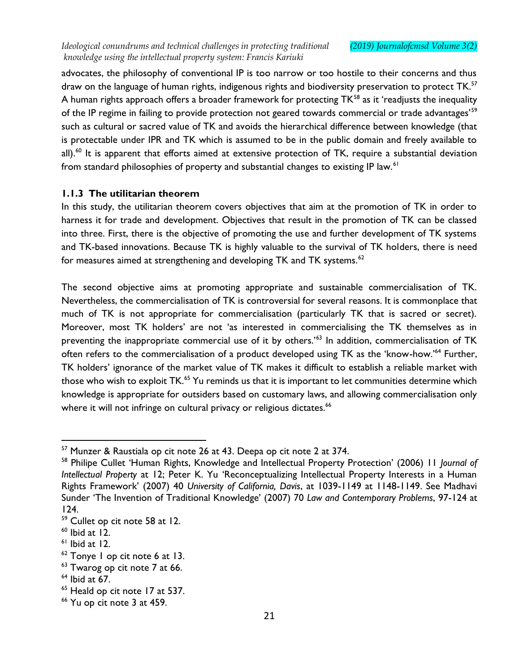advocates, the philosophy of conventional IP is too narrow or too hostile to their concerns and thus draw on the language of human rights, indigenous rights and biodiversity preservation to protect TK.<sup>57</sup> A human rights approach offers a broader framework for protecting TK<sup>58</sup> as it 'readjusts the inequality of the IP regime in failing to provide protection not geared towards commercial or trade advantages'<sup>59</sup> such as cultural or sacred value of TK and avoids the hierarchical difference between knowledge (that is protectable under IPR and TK which is assumed to be in the public domain and freely available to all).<sup>60</sup> It is apparent that efforts aimed at extensive protection of TK, require a substantial deviation from standard philosophies of property and substantial changes to existing IP law.<sup>61</sup>

# **1.1.3 The utilitarian theorem**

In this study, the utilitarian theorem covers objectives that aim at the promotion of TK in order to harness it for trade and development. Objectives that result in the promotion of TK can be classed into three. First, there is the objective of promoting the use and further development of TK systems and TK-based innovations. Because TK is highly valuable to the survival of TK holders, there is need for measures aimed at strengthening and developing TK and TK systems. $62$ 

The second objective aims at promoting appropriate and sustainable commercialisation of TK. Nevertheless, the commercialisation of TK is controversial for several reasons. It is commonplace that much of TK is not appropriate for commercialisation (particularly TK that is sacred or secret). Moreover, most TK holders' are not 'as interested in commercialising the TK themselves as in preventing the inappropriate commercial use of it by others.'<sup>63</sup> In addition, commercialisation of TK often refers to the commercialisation of a product developed using TK as the 'know-how.'<sup>64</sup> Further, TK holders' ignorance of the market value of TK makes it difficult to establish a reliable market with those who wish to exploit TK.<sup>65</sup> Yu reminds us that it is important to let communities determine which knowledge is appropriate for outsiders based on customary laws, and allowing commercialisation only where it will not infringe on cultural privacy or religious dictates.<sup>66</sup>

 $^{57}$  Munzer & Raustiala op cit note 26 at 43. Deepa op cit note 2 at 374.

<sup>58</sup> Philipe Cullet 'Human Rights, Knowledge and Intellectual Property Protection' (2006) 11 *Journal of Intellectual Property* at 12; Peter K. Yu 'Reconceptualizing Intellectual Property Interests in a Human Rights Framework' (2007) 40 *University of California, Davis*, at 1039-1149 at 1148-1149. See Madhavi Sunder 'The Invention of Traditional Knowledge' (2007) 70 *Law and Contemporary Problems*, 97-124 at 124.

<sup>59</sup> Cullet op cit note 58 at 12.

 $60$  Ibid at 12.

 $<sup>61</sup>$  Ibid at 12.</sup>

<sup>62</sup> Tonye 1 op cit note 6 at 13.

<sup>&</sup>lt;sup>63</sup> Twarog op cit note 7 at 66.

 $<sup>64</sup>$  Ibid at 67.</sup>

<sup>&</sup>lt;sup>65</sup> Heald op cit note 17 at 537.

<sup>66</sup> Yu op cit note 3 at 459.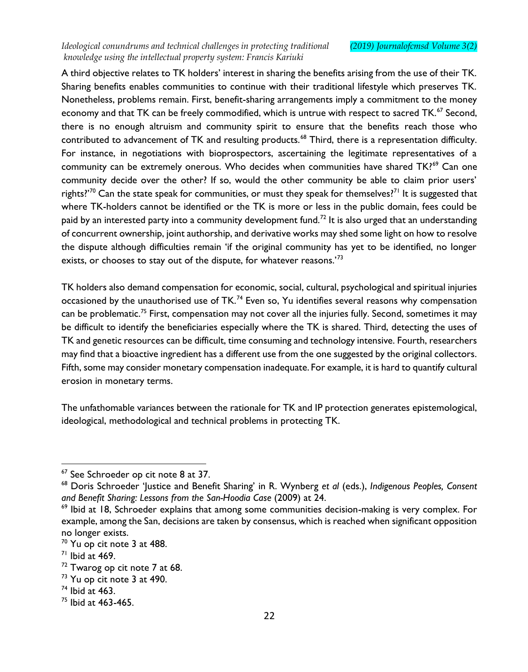A third objective relates to TK holders' interest in sharing the benefits arising from the use of their TK. Sharing benefits enables communities to continue with their traditional lifestyle which preserves TK. Nonetheless, problems remain. First, benefit-sharing arrangements imply a commitment to the money economy and that TK can be freely commodified, which is untrue with respect to sacred TK.<sup>67</sup> Second, there is no enough altruism and community spirit to ensure that the benefits reach those who contributed to advancement of TK and resulting products.<sup>68</sup> Third, there is a representation difficulty. For instance, in negotiations with bioprospectors, ascertaining the legitimate representatives of a community can be extremely onerous. Who decides when communities have shared TK?<sup>69</sup> Can one community decide over the other? If so, would the other community be able to claim prior users' rights?'<sup>70</sup> Can the state speak for communities, or must they speak for themselves?<sup>71</sup> It is suggested that where TK-holders cannot be identified or the TK is more or less in the public domain, fees could be paid by an interested party into a community development fund.<sup>72</sup> It is also urged that an understanding of concurrent ownership, joint authorship, and derivative works may shed some light on how to resolve the dispute although difficulties remain 'if the original community has yet to be identified, no longer exists, or chooses to stay out of the dispute, for whatever reasons.<sup>73</sup>

TK holders also demand compensation for economic, social, cultural, psychological and spiritual injuries occasioned by the unauthorised use of TK.<sup>74</sup> Even so, Yu identifies several reasons why compensation can be problematic.<sup>75</sup> First, compensation may not cover all the injuries fully. Second, sometimes it may be difficult to identify the beneficiaries especially where the TK is shared. Third, detecting the uses of TK and genetic resources can be difficult, time consuming and technology intensive. Fourth, researchers may find that a bioactive ingredient has a different use from the one suggested by the original collectors. Fifth, some may consider monetary compensation inadequate. For example, it is hard to quantify cultural erosion in monetary terms.

The unfathomable variances between the rationale for TK and IP protection generates epistemological, ideological, methodological and technical problems in protecting TK.

<sup>&</sup>lt;sup>67</sup> See Schroeder op cit note 8 at 37.

<sup>68</sup> Doris Schroeder 'Justice and Benefit Sharing' in R. Wynberg *et al* (eds.), *Indigenous Peoples, Consent and Benefit Sharing: Lessons from the San-Hoodia Case* (2009) at 24.

 $69$  lbid at 18, Schroeder explains that among some communities decision-making is very complex. For example, among the San, decisions are taken by consensus, which is reached when significant opposition no longer exists.

 $70$  Yu op cit note 3 at 488.

 $71$  Ibid at 469.

 $72$  Twarog op cit note 7 at 68.

 $73$  Yu op cit note 3 at 490.

 $74$  Ibid at 463.

 $75$  Ibid at 463-465.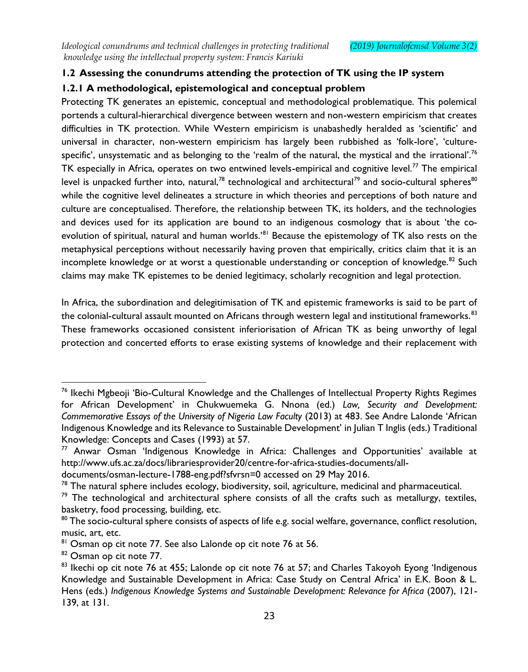# **1.2 Assessing the conundrums attending the protection of TK using the IP system**

# **1.2.1 A methodological, epistemological and conceptual problem**

Protecting TK generates an epistemic, conceptual and methodological problematique. This polemical portends a cultural-hierarchical divergence between western and non-western empiricism that creates difficulties in TK protection. While Western empiricism is unabashedly heralded as 'scientific' and universal in character, non-western empiricism has largely been rubbished as 'folk-lore', 'culturespecific', unsystematic and as belonging to the 'realm of the natural, the mystical and the irrational'.<sup>76</sup> TK especially in Africa, operates on two entwined levels-empirical and cognitive level.<sup>77</sup> The empirical level is unpacked further into, natural,<sup>78</sup> technological and architectural<sup>79</sup> and socio-cultural spheres<sup>80</sup> while the cognitive level delineates a structure in which theories and perceptions of both nature and culture are conceptualised. Therefore, the relationship between TK, its holders, and the technologies and devices used for its application are bound to an indigenous cosmology that is about 'the coevolution of spiritual, natural and human worlds.<sup>'81</sup> Because the epistemology of TK also rests on the metaphysical perceptions without necessarily having proven that empirically, critics claim that it is an incomplete knowledge or at worst a questionable understanding or conception of knowledge.<sup>82</sup> Such claims may make TK epistemes to be denied legitimacy, scholarly recognition and legal protection.

In Africa, the subordination and delegitimisation of TK and epistemic frameworks is said to be part of the colonial-cultural assault mounted on Africans through western legal and institutional frameworks.<sup>83</sup> These frameworks occasioned consistent inferiorisation of African TK as being unworthy of legal protection and concerted efforts to erase existing systems of knowledge and their replacement with

<sup>&</sup>lt;sup>76</sup> Ikechi Mgbeoji 'Bio-Cultural Knowledge and the Challenges of Intellectual Property Rights Regimes for African Development' in Chukwuemeka G. Nnona (ed.) *Law, Security and Development: Commemorative Essays of the University of Nigeria Law Faculty* (2013) at 483. See Andre Lalonde 'African Indigenous Knowledge and its Relevance to Sustainable Development' in Julian T Inglis (eds.) Traditional Knowledge: Concepts and Cases (1993) at 57.

 $77$  Anwar Osman 'Indigenous Knowledge in Africa: Challenges and Opportunities' available at http://www.ufs.ac.za/docs/librariesprovider20/centre-for-africa-studies-documents/all-

documents/osman-lecture-1788-eng.pdf?sfvrsn=0 accessed on 29 May 2016.

 $78$  The natural sphere includes ecology, biodiversity, soil, agriculture, medicinal and pharmaceutical.

 $79$  The technological and architectural sphere consists of all the crafts such as metallurgy, textiles, basketry, food processing, building, etc.

<sup>80</sup> The socio-cultural sphere consists of aspects of life e.g. social welfare, governance, conflict resolution, music, art, etc.

<sup>&</sup>lt;sup>81</sup> Osman op cit note 77. See also Lalonde op cit note 76 at 56.

<sup>82</sup> Osman op cit note 77.

<sup>83</sup> Ikechi op cit note 76 at 455; Lalonde op cit note 76 at 57; and Charles Takoyoh Eyong 'Indigenous Knowledge and Sustainable Development in Africa: Case Study on Central Africa' in E.K. Boon & L. Hens (eds.) *Indigenous Knowledge Systems and Sustainable Development: Relevance for Africa* (2007), 121- 139, at 131.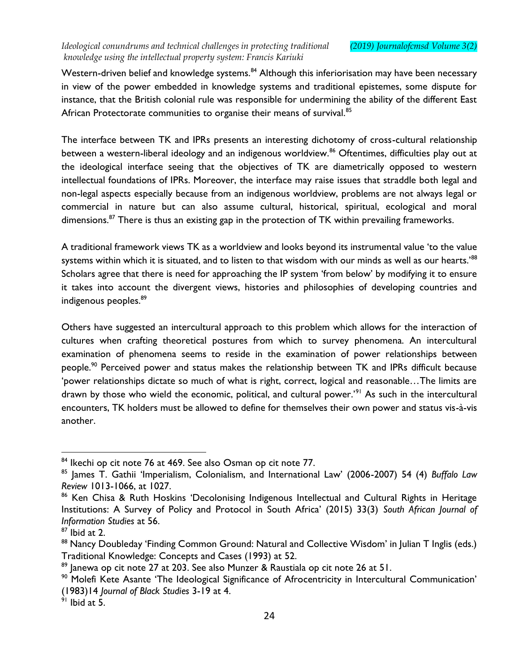Western-driven belief and knowledge systems.<sup>84</sup> Although this inferiorisation may have been necessary in view of the power embedded in knowledge systems and traditional epistemes, some dispute for instance, that the British colonial rule was responsible for undermining the ability of the different East African Protectorate communities to organise their means of survival.<sup>85</sup>

The interface between TK and IPRs presents an interesting dichotomy of cross-cultural relationship between a western-liberal ideology and an indigenous worldview.<sup>86</sup> Oftentimes, difficulties play out at the ideological interface seeing that the objectives of TK are diametrically opposed to western intellectual foundations of IPRs. Moreover, the interface may raise issues that straddle both legal and non-legal aspects especially because from an indigenous worldview, problems are not always legal or commercial in nature but can also assume cultural, historical, spiritual, ecological and moral dimensions.<sup>87</sup> There is thus an existing gap in the protection of TK within prevailing frameworks.

A traditional framework views TK as a worldview and looks beyond its instrumental value 'to the value systems within which it is situated, and to listen to that wisdom with our minds as well as our hearts.'<sup>88</sup> Scholars agree that there is need for approaching the IP system 'from below' by modifying it to ensure it takes into account the divergent views, histories and philosophies of developing countries and indigenous peoples.<sup>89</sup>

Others have suggested an intercultural approach to this problem which allows for the interaction of cultures when crafting theoretical postures from which to survey phenomena. An intercultural examination of phenomena seems to reside in the examination of power relationships between people.<sup>90</sup> Perceived power and status makes the relationship between TK and IPRs difficult because 'power relationships dictate so much of what is right, correct, logical and reasonable…The limits are drawn by those who wield the economic, political, and cultural power.<sup>'91</sup> As such in the intercultural encounters, TK holders must be allowed to define for themselves their own power and status vis-à-vis another.

 $84$  Ikechi op cit note 76 at 469. See also Osman op cit note 77.

<sup>85</sup> James T. Gathii 'Imperialism, Colonialism, and International Law' (2006-2007) 54 (4) *Buffalo Law Review* 1013-1066, at 1027.

<sup>&</sup>lt;sup>86</sup> Ken Chisa & Ruth Hoskins 'Decolonising Indigenous Intellectual and Cultural Rights in Heritage Institutions: A Survey of Policy and Protocol in South Africa' (2015) 33(3) *South African Journal of Information Studies* at 56.

 $87$  Ibid at 2.

<sup>88</sup> Nancy Doubleday 'Finding Common Ground: Natural and Collective Wisdom' in Julian T Inglis (eds.) Traditional Knowledge: Concepts and Cases (1993) at 52.

<sup>89</sup> Janewa op cit note 27 at 203. See also Munzer & Raustiala op cit note 26 at 51.

<sup>&</sup>lt;sup>90</sup> Molefi Kete Asante 'The Ideological Significance of Afrocentricity in Intercultural Communication' (1983)14 *Journal of Black Studies* 3-19 at 4.

 $91$  Ibid at 5.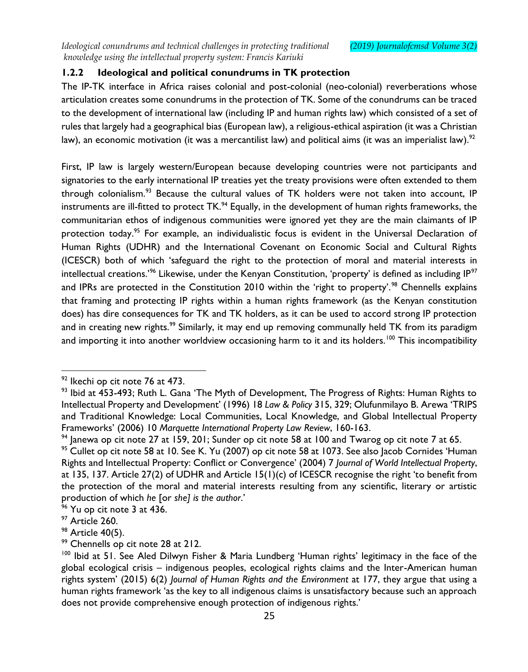# **1.2.2 Ideological and political conundrums in TK protection**

The IP-TK interface in Africa raises colonial and post-colonial (neo-colonial) reverberations whose articulation creates some conundrums in the protection of TK. Some of the conundrums can be traced to the development of international law (including IP and human rights law) which consisted of a set of rules that largely had a geographical bias (European law), a religious-ethical aspiration (it was a Christian law), an economic motivation (it was a mercantilist law) and political aims (it was an imperialist law).<sup>92</sup>

First, IP law is largely western/European because developing countries were not participants and signatories to the early international IP treaties yet the treaty provisions were often extended to them through colonialism.<sup>93</sup> Because the cultural values of TK holders were not taken into account, IP instruments are ill-fitted to protect TK.<sup>94</sup> Equally, in the development of human rights frameworks, the communitarian ethos of indigenous communities were ignored yet they are the main claimants of IP protection today.<sup>95</sup> For example, an individualistic focus is evident in the Universal Declaration of Human Rights (UDHR) and the International Covenant on Economic Social and Cultural Rights (ICESCR) both of which 'safeguard the right to the protection of moral and material interests in intellectual creations.<sup>'96</sup> Likewise, under the Kenyan Constitution, 'property' is defined as including IP<sup>97</sup> and IPRs are protected in the Constitution 2010 within the 'right to property'.<sup>98</sup> Chennells explains that framing and protecting IP rights within a human rights framework (as the Kenyan constitution does) has dire consequences for TK and TK holders, as it can be used to accord strong IP protection and in creating new rights.<sup>99</sup> Similarly, it may end up removing communally held TK from its paradigm and importing it into another worldview occasioning harm to it and its holders.<sup>100</sup> This incompatibility

 $^{92}$  Ikechi op cit note 76 at 473.

 $93$  Ibid at 453-493; Ruth L. Gana 'The Myth of Development, The Progress of Rights: Human Rights to Intellectual Property and Development' (1996) 18 *Law & Policy* 315, 329; Olufunmilayo B. Arewa 'TRIPS and Traditional Knowledge: Local Communities, Local Knowledge, and Global Intellectual Property Frameworks' (2006) 10 *Marquette International Property Law Review*, 160-163.

 $94$  Janewa op cit note 27 at 159, 201; Sunder op cit note 58 at 100 and Twarog op cit note 7 at 65.

<sup>&</sup>lt;sup>95</sup> Cullet op cit note 58 at 10. See K. Yu (2007) op cit note 58 at 1073. See also Jacob Cornides 'Human Rights and Intellectual Property: Conflict or Convergence' (2004) 7 *Journal of World Intellectual Property*, at 135, 137. Article 27(2) of UDHR and Article 15(1)(c) of ICESCR recognise the right 'to benefit from the protection of the moral and material interests resulting from any scientific, literary or artistic production of which *he* [or *she] is the author*.'

 $96$  Yu op cit note 3 at 436.

<sup>&</sup>lt;sup>97</sup> Article 260.

<sup>98</sup> Article 40(5).

<sup>&</sup>lt;sup>99</sup> Chennells op cit note 28 at 212.

<sup>&</sup>lt;sup>100</sup> Ibid at 51. See Aled Dilwyn Fisher & Maria Lundberg 'Human rights' legitimacy in the face of the global ecological crisis – indigenous peoples, ecological rights claims and the Inter-American human rights system' (2015) 6(2) *Journal of Human Rights and the Environment* at 177, they argue that using a human rights framework 'as the key to all indigenous claims is unsatisfactory because such an approach does not provide comprehensive enough protection of indigenous rights.'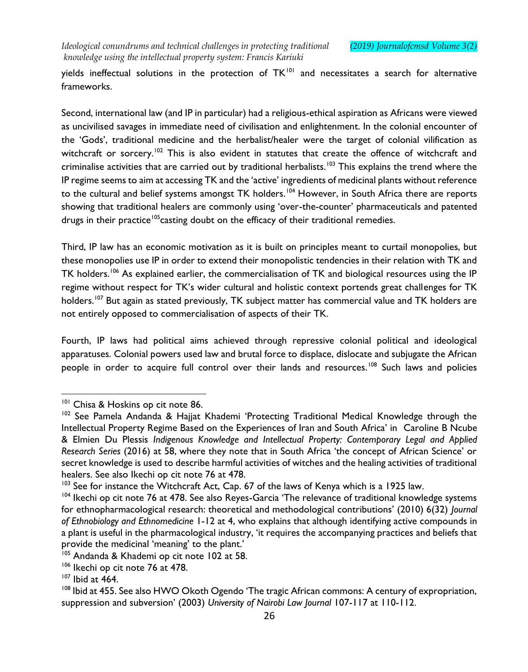yields ineffectual solutions in the protection of TK<sup>101</sup> and necessitates a search for alternative frameworks.

Second, international law (and IP in particular) had a religious-ethical aspiration as Africans were viewed as uncivilised savages in immediate need of civilisation and enlightenment. In the colonial encounter of the 'Gods', traditional medicine and the herbalist/healer were the target of colonial vilification as witchcraft or sorcery.<sup>102</sup> This is also evident in statutes that create the offence of witchcraft and criminalise activities that are carried out by traditional herbalists.<sup>103</sup> This explains the trend where the IP regime seems to aim at accessing TK and the 'active' ingredients of medicinal plants without reference to the cultural and belief systems amongst TK holders.<sup>104</sup> However, in South Africa there are reports showing that traditional healers are commonly using 'over-the-counter' pharmaceuticals and patented drugs in their practice<sup>105</sup>casting doubt on the efficacy of their traditional remedies.

Third, IP law has an economic motivation as it is built on principles meant to curtail monopolies, but these monopolies use IP in order to extend their monopolistic tendencies in their relation with TK and TK holders.<sup>106</sup> As explained earlier, the commercialisation of TK and biological resources using the IP regime without respect for TK's wider cultural and holistic context portends great challenges for TK holders.<sup>107</sup> But again as stated previously, TK subject matter has commercial value and TK holders are not entirely opposed to commercialisation of aspects of their TK.

Fourth, IP laws had political aims achieved through repressive colonial political and ideological apparatuses. Colonial powers used law and brutal force to displace, dislocate and subjugate the African people in order to acquire full control over their lands and resources.<sup>108</sup> Such laws and policies

<sup>&</sup>lt;sup>101</sup> Chisa & Hoskins op cit note 86.

<sup>&</sup>lt;sup>102</sup> See Pamela Andanda & Hajjat Khademi 'Protecting Traditional Medical Knowledge through the Intellectual Property Regime Based on the Experiences of Iran and South Africa' in Caroline B Ncube & Elmien Du Plessis *Indigenous Knowledge and Intellectual Property: Contemporary Legal and Applied Research Series* (2016) at 58, where they note that in South Africa 'the concept of African Science' or secret knowledge is used to describe harmful activities of witches and the healing activities of traditional healers. See also Ikechi op cit note 76 at 478.

<sup>&</sup>lt;sup>103</sup> See for instance the Witchcraft Act, Cap. 67 of the laws of Kenya which is a 1925 law.

<sup>&</sup>lt;sup>104</sup> Ikechi op cit note 76 at 478. See also Reyes-Garcia 'The relevance of traditional knowledge systems for ethnopharmacological research: theoretical and methodological contributions' (2010) 6(32) *Journal of Ethnobiology and Ethnomedicine* 1-12 at 4, who explains that although identifying active compounds in a plant is useful in the pharmacological industry, 'it requires the accompanying practices and beliefs that provide the medicinal 'meaning' to the plant.'

<sup>&</sup>lt;sup>105</sup> Andanda & Khademi op cit note 102 at 58.

<sup>&</sup>lt;sup>106</sup> Ikechi op cit note 76 at 478.

 $107$  Ibid at 464.

<sup>&</sup>lt;sup>108</sup> Ibid at 455. See also HWO Okoth Ogendo 'The tragic African commons: A century of expropriation, suppression and subversion' (2003) *University of Nairobi Law Journal* 107-117 at 110-112.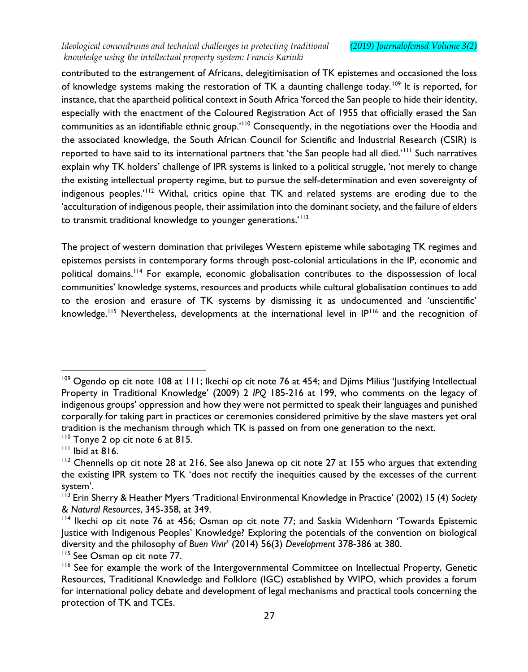contributed to the estrangement of Africans, delegitimisation of TK epistemes and occasioned the loss of knowledge systems making the restoration of TK a daunting challenge today.<sup>109</sup> It is reported, for instance, that the apartheid political context in South Africa 'forced the San people to hide their identity, especially with the enactment of the Coloured Registration Act of 1955 that officially erased the San communities as an identifiable ethnic group.'<sup>110</sup> Consequently, in the negotiations over the Hoodia and the associated knowledge, the South African Council for Scientific and Industrial Research (CSIR) is reported to have said to its international partners that 'the San people had all died.'<sup>111</sup> Such narratives explain why TK holders' challenge of IPR systems is linked to a political struggle, 'not merely to change the existing intellectual property regime, but to pursue the self-determination and even sovereignty of indigenous peoples.<sup>'112</sup> Withal, critics opine that TK and related systems are eroding due to the 'acculturation of indigenous people, their assimilation into the dominant society, and the failure of elders to transmit traditional knowledge to younger generations.<sup>'113</sup>

The project of western domination that privileges Western episteme while sabotaging TK regimes and epistemes persists in contemporary forms through post-colonial articulations in the IP, economic and political domains.<sup>114</sup> For example, economic globalisation contributes to the dispossession of local communities' knowledge systems, resources and products while cultural globalisation continues to add to the erosion and erasure of TK systems by dismissing it as undocumented and 'unscientific' knowledge.<sup>115</sup> Nevertheless, developments at the international level in IP<sup>116</sup> and the recognition of

<sup>&</sup>lt;sup>109</sup> Ogendo op cit note 108 at 111; Ikechi op cit note 76 at 454; and Djims Milius 'Justifying Intellectual Property in Traditional Knowledge' (2009) 2 *IPQ* 185-216 at 199, who comments on the legacy of indigenous groups' oppression and how they were not permitted to speak their languages and punished corporally for taking part in practices or ceremonies considered primitive by the slave masters yet oral tradition is the mechanism through which TK is passed on from one generation to the next.

<sup>&</sup>lt;sup>110</sup> Tonye 2 op cit note 6 at 815.

 $111$  Ibid at 816.

 $112$  Chennells op cit note 28 at 216. See also Janewa op cit note 27 at 155 who argues that extending the existing IPR system to TK 'does not rectify the inequities caused by the excesses of the current system'.

<sup>113</sup> Erin Sherry & Heather Myers 'Traditional Environmental Knowledge in Practice' (2002) 15 (4) *Society & Natural Resources*, 345-358, at 349.

<sup>&</sup>lt;sup>114</sup> Ikechi op cit note 76 at 456; Osman op cit note 77; and Saskia Widenhorn 'Towards Epistemic Justice with Indigenous Peoples' Knowledge? Exploring the potentials of the convention on biological diversity and the philosophy of *Buen Vivir*' (2014) 56(3) *Development* 378-386 at 380.

<sup>&</sup>lt;sup>115</sup> See Osman op cit note 77.

<sup>&</sup>lt;sup>116</sup> See for example the work of the Intergovernmental Committee on Intellectual Property, Genetic Resources, Traditional Knowledge and Folklore (IGC) established by WIPO, which provides a forum for international policy debate and development of legal mechanisms and practical tools concerning the protection of TK and TCEs.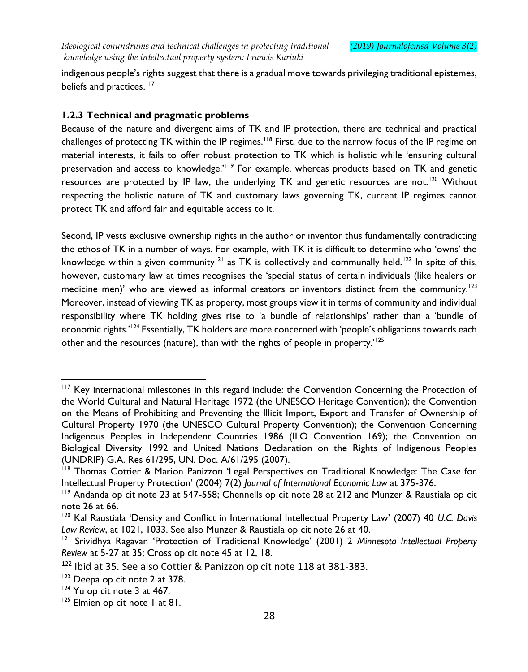indigenous people's rights suggest that there is a gradual move towards privileging traditional epistemes, beliefs and practices.<sup>117</sup>

# **1.2.3 Technical and pragmatic problems**

Because of the nature and divergent aims of TK and IP protection, there are technical and practical challenges of protecting TK within the IP regimes.<sup>118</sup> First, due to the narrow focus of the IP regime on material interests, it fails to offer robust protection to TK which is holistic while 'ensuring cultural preservation and access to knowledge.'<sup>119</sup> For example, whereas products based on TK and genetic resources are protected by IP law, the underlying TK and genetic resources are not.<sup>120</sup> Without respecting the holistic nature of TK and customary laws governing TK, current IP regimes cannot protect TK and afford fair and equitable access to it.

Second, IP vests exclusive ownership rights in the author or inventor thus fundamentally contradicting the ethos of TK in a number of ways. For example, with TK it is difficult to determine who 'owns' the knowledge within a given community<sup>121</sup> as TK is collectively and communally held.<sup>122</sup> In spite of this, however, customary law at times recognises the 'special status of certain individuals (like healers or medicine men)' who are viewed as informal creators or inventors distinct from the community.<sup>123</sup> Moreover, instead of viewing TK as property, most groups view it in terms of community and individual responsibility where TK holding gives rise to 'a bundle of relationships' rather than a 'bundle of economic rights.'<sup>124</sup> Essentially, TK holders are more concerned with 'people's obligations towards each other and the resources (nature), than with the rights of people in property.'<sup>125</sup>

<sup>&</sup>lt;sup>117</sup> Key international milestones in this regard include: the Convention Concerning the Protection of the World Cultural and Natural Heritage 1972 (the UNESCO Heritage Convention); the Convention on the Means of Prohibiting and Preventing the Illicit Import, Export and Transfer of Ownership of Cultural Property 1970 (the UNESCO Cultural Property Convention); the Convention Concerning Indigenous Peoples in Independent Countries 1986 (ILO Convention 169); the Convention on Biological Diversity 1992 and United Nations Declaration on the Rights of Indigenous Peoples (UNDRIP) G.A. Res 61/295, UN. Doc. A/61/295 (2007).

<sup>&</sup>lt;sup>118</sup> Thomas Cottier & Marion Panizzon 'Legal Perspectives on Traditional Knowledge: The Case for Intellectual Property Protection' (2004) 7(2) *Journal of International Economic Law* at 375-376.

<sup>&</sup>lt;sup>119</sup> Andanda op cit note 23 at 547-558; Chennells op cit note 28 at 212 and Munzer & Raustiala op cit note 26 at 66.

<sup>120</sup> Kal Raustiala 'Density and Conflict in International Intellectual Property Law' (2007) 40 *U.C. Davis Law Review*, at 1021, 1033. See also Munzer & Raustiala op cit note 26 at 40.

<sup>121</sup> Srividhya Ragavan 'Protection of Traditional Knowledge' (2001) 2 *Minnesota Intellectual Property Review* at 5-27 at 35; Cross op cit note 45 at 12, 18.

<sup>&</sup>lt;sup>122</sup> Ibid at 35. See also Cottier & Panizzon op cit note 118 at 381-383.

<sup>&</sup>lt;sup>123</sup> Deepa op cit note 2 at 378.

<sup>&</sup>lt;sup>124</sup> Yu op cit note 3 at 467.

<sup>&</sup>lt;sup>125</sup> Elmien op cit note 1 at 81.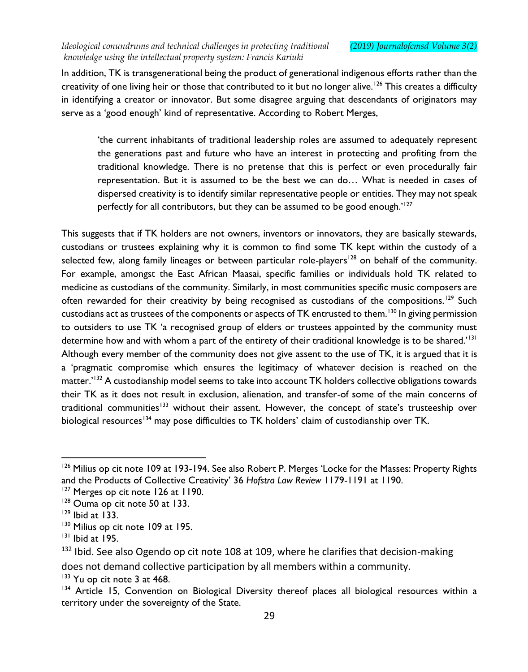In addition, TK is transgenerational being the product of generational indigenous efforts rather than the creativity of one living heir or those that contributed to it but no longer alive.<sup>126</sup> This creates a difficulty in identifying a creator or innovator. But some disagree arguing that descendants of originators may serve as a 'good enough' kind of representative. According to Robert Merges,

'the current inhabitants of traditional leadership roles are assumed to adequately represent the generations past and future who have an interest in protecting and profiting from the traditional knowledge. There is no pretense that this is perfect or even procedurally fair representation. But it is assumed to be the best we can do… What is needed in cases of dispersed creativity is to identify similar representative people or entities. They may not speak perfectly for all contributors, but they can be assumed to be good enough.<sup>'127</sup>

This suggests that if TK holders are not owners, inventors or innovators, they are basically stewards, custodians or trustees explaining why it is common to find some TK kept within the custody of a selected few, along family lineages or between particular role-players<sup>128</sup> on behalf of the community. For example, amongst the East African Maasai, specific families or individuals hold TK related to medicine as custodians of the community. Similarly, in most communities specific music composers are often rewarded for their creativity by being recognised as custodians of the compositions.<sup>129</sup> Such custodians act as trustees of the components or aspects of TK entrusted to them.<sup>130</sup> In giving permission to outsiders to use TK 'a recognised group of elders or trustees appointed by the community must determine how and with whom a part of the entirety of their traditional knowledge is to be shared.'<sup>131</sup> Although every member of the community does not give assent to the use of TK, it is argued that it is a 'pragmatic compromise which ensures the legitimacy of whatever decision is reached on the matter.'<sup>132</sup> A custodianship model seems to take into account TK holders collective obligations towards their TK as it does not result in exclusion, alienation, and transfer-of some of the main concerns of traditional communities<sup>133</sup> without their assent. However, the concept of state's trusteeship over biological resources<sup>134</sup> may pose difficulties to TK holders' claim of custodianship over TK.

 $\overline{a}$ 

<sup>133</sup> Yu op cit note 3 at 468.

<sup>&</sup>lt;sup>126</sup> Milius op cit note 109 at 193-194. See also Robert P. Merges 'Locke for the Masses: Property Rights and the Products of Collective Creativity' 36 *Hofstra Law Review* 1179-1191 at 1190.

<sup>&</sup>lt;sup>127</sup> Merges op cit note 126 at 1190.

<sup>&</sup>lt;sup>128</sup> Ouma op cit note 50 at 133.

 $129$  Ibid at 133.

<sup>&</sup>lt;sup>130</sup> Milius op cit note 109 at 195.

<sup>131</sup> Ibid at 195.

<sup>&</sup>lt;sup>132</sup> Ibid. See also Ogendo op cit note 108 at 109, where he clarifies that decision-making does not demand collective participation by all members within a community.

<sup>&</sup>lt;sup>134</sup> Article 15, Convention on Biological Diversity thereof places all biological resources within a territory under the sovereignty of the State.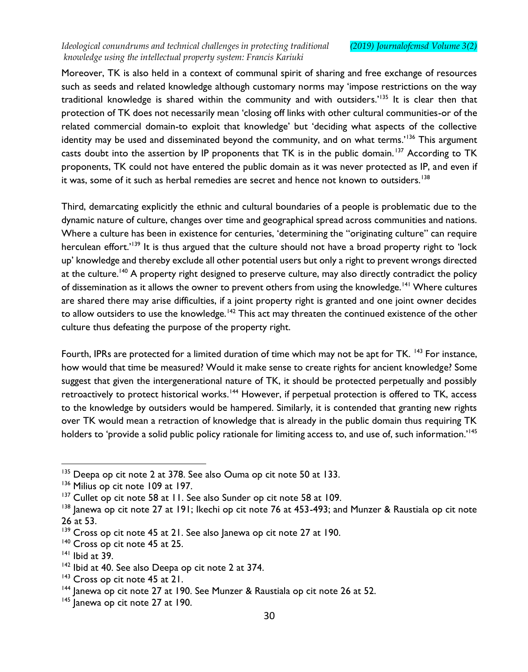Moreover, TK is also held in a context of communal spirit of sharing and free exchange of resources such as seeds and related knowledge although customary norms may 'impose restrictions on the way traditional knowledge is shared within the community and with outsiders.<sup>'135</sup> It is clear then that protection of TK does not necessarily mean 'closing off links with other cultural communities-or of the related commercial domain-to exploit that knowledge' but 'deciding what aspects of the collective identity may be used and disseminated beyond the community, and on what terms.<sup>'136</sup> This argument casts doubt into the assertion by IP proponents that TK is in the public domain.<sup>137</sup> According to TK proponents, TK could not have entered the public domain as it was never protected as IP, and even if it was, some of it such as herbal remedies are secret and hence not known to outsiders.<sup>138</sup>

Third, demarcating explicitly the ethnic and cultural boundaries of a people is problematic due to the dynamic nature of culture, changes over time and geographical spread across communities and nations. Where a culture has been in existence for centuries, 'determining the "originating culture" can require herculean effort.'<sup>139</sup> It is thus argued that the culture should not have a broad property right to 'lock up' knowledge and thereby exclude all other potential users but only a right to prevent wrongs directed at the culture.<sup>140</sup> A property right designed to preserve culture, may also directly contradict the policy of dissemination as it allows the owner to prevent others from using the knowledge.<sup>141</sup> Where cultures are shared there may arise difficulties, if a joint property right is granted and one joint owner decides to allow outsiders to use the knowledge.<sup>142</sup> This act may threaten the continued existence of the other culture thus defeating the purpose of the property right.

Fourth, IPRs are protected for a limited duration of time which may not be apt for TK. <sup>143</sup> For instance, how would that time be measured? Would it make sense to create rights for ancient knowledge? Some suggest that given the intergenerational nature of TK, it should be protected perpetually and possibly retroactively to protect historical works.<sup>144</sup> However, if perpetual protection is offered to TK, access to the knowledge by outsiders would be hampered. Similarly, it is contended that granting new rights over TK would mean a retraction of knowledge that is already in the public domain thus requiring TK holders to 'provide a solid public policy rationale for limiting access to, and use of, such information.<sup>'145</sup>

<sup>&</sup>lt;sup>135</sup> Deepa op cit note 2 at 378. See also Ouma op cit note 50 at 133.

<sup>136</sup> Milius op cit note 109 at 197.

<sup>&</sup>lt;sup>137</sup> Cullet op cit note 58 at 11. See also Sunder op cit note 58 at 109.

<sup>&</sup>lt;sup>138</sup> Janewa op cit note 27 at 191; Ikechi op cit note 76 at 453-493; and Munzer & Raustiala op cit note 26 at 53.

<sup>&</sup>lt;sup>139</sup> Cross op cit note 45 at 21. See also Janewa op cit note 27 at 190.

<sup>&</sup>lt;sup>140</sup> Cross op cit note 45 at 25.

<sup>141</sup> Ibid at 39.

<sup>&</sup>lt;sup>142</sup> Ibid at 40. See also Deepa op cit note 2 at 374.

<sup>&</sup>lt;sup>143</sup> Cross op cit note 45 at 21.

<sup>&</sup>lt;sup>144</sup> Janewa op cit note 27 at 190. See Munzer & Raustiala op cit note 26 at 52.

 $145$  Janewa op cit note 27 at 190.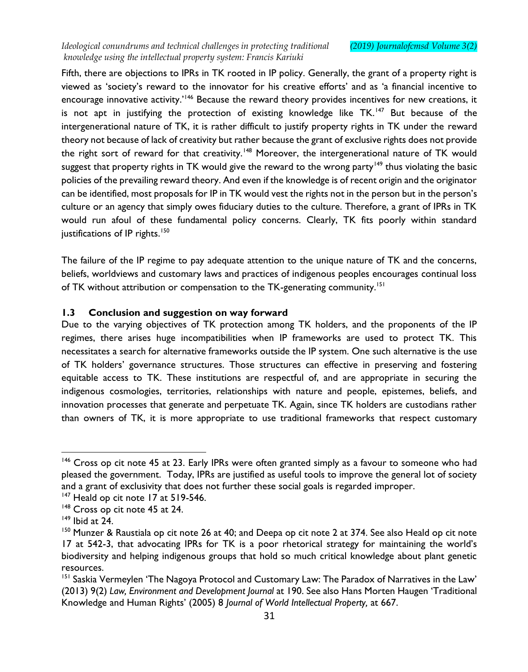Fifth, there are objections to IPRs in TK rooted in IP policy. Generally, the grant of a property right is viewed as 'society's reward to the innovator for his creative efforts' and as 'a financial incentive to encourage innovative activity.<sup>'146</sup> Because the reward theory provides incentives for new creations, it is not apt in justifying the protection of existing knowledge like TK.<sup>147</sup> But because of the intergenerational nature of TK, it is rather difficult to justify property rights in TK under the reward theory not because of lack of creativity but rather because the grant of exclusive rights does not provide the right sort of reward for that creativity.<sup>148</sup> Moreover, the intergenerational nature of TK would suggest that property rights in TK would give the reward to the wrong party<sup>149</sup> thus violating the basic policies of the prevailing reward theory. And even if the knowledge is of recent origin and the originator can be identified, most proposals for IP in TK would vest the rights not in the person but in the person's culture or an agency that simply owes fiduciary duties to the culture. Therefore, a grant of IPRs in TK would run afoul of these fundamental policy concerns. Clearly, TK fits poorly within standard justifications of IP rights.<sup>150</sup>

The failure of the IP regime to pay adequate attention to the unique nature of TK and the concerns, beliefs, worldviews and customary laws and practices of indigenous peoples encourages continual loss of TK without attribution or compensation to the TK-generating community.<sup>151</sup>

### **1.3 Conclusion and suggestion on way forward**

Due to the varying objectives of TK protection among TK holders, and the proponents of the IP regimes, there arises huge incompatibilities when IP frameworks are used to protect TK. This necessitates a search for alternative frameworks outside the IP system. One such alternative is the use of TK holders' governance structures. Those structures can effective in preserving and fostering equitable access to TK. These institutions are respectful of, and are appropriate in securing the indigenous cosmologies, territories, relationships with nature and people, epistemes, beliefs, and innovation processes that generate and perpetuate TK. Again, since TK holders are custodians rather than owners of TK, it is more appropriate to use traditional frameworks that respect customary

<sup>&</sup>lt;sup>146</sup> Cross op cit note 45 at 23. Early IPRs were often granted simply as a favour to someone who had pleased the government. Today, IPRs are justified as useful tools to improve the general lot of society and a grant of exclusivity that does not further these social goals is regarded improper.

<sup>&</sup>lt;sup>147</sup> Heald op cit note 17 at 519-546.

<sup>&</sup>lt;sup>148</sup> Cross op cit note 45 at 24.

 $149$  Ibid at 24.

<sup>&</sup>lt;sup>150</sup> Munzer & Raustiala op cit note 26 at 40; and Deepa op cit note 2 at 374. See also Heald op cit note 17 at 542-3, that advocating IPRs for TK is a poor rhetorical strategy for maintaining the world's biodiversity and helping indigenous groups that hold so much critical knowledge about plant genetic resources.

<sup>&</sup>lt;sup>151</sup> Saskia Vermeylen 'The Nagoya Protocol and Customary Law: The Paradox of Narratives in the Law' (2013) 9(2) *Law, Environment and Development Journal* at 190. See also Hans Morten Haugen 'Traditional Knowledge and Human Rights' (2005) 8 *Journal of World Intellectual Property,* at 667.